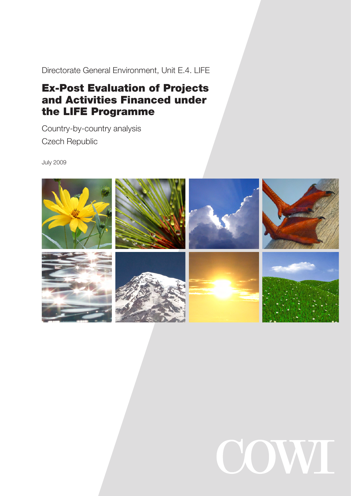Directorate General Environment, Unit E.4. LIFE

# Ex-Post Evaluation of Projects and Activities Financed under the LIFE Programme

Country-by-country analysis Czech Republic

July 2009



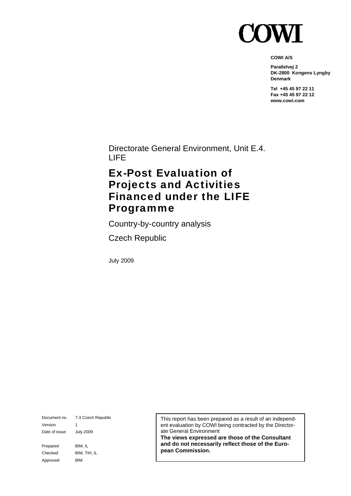

**COWI A/S** 

**Parallelvej 2 DK-2800 Kongens Lyngby Denmark** 

**Tel +45 45 97 22 11 Fax +45 45 97 22 12 www.cowi.com** 

Directorate General Environment, Unit E.4. LIFE

# Ex-Post Evaluation of Projects and Activities Financed under the LIFE Programme

Country-by-country analysis

Czech Republic

July 2009

Document no. 7-3 Czech Republic Version 1 Date of issue July.2009 Prepared BIM, IL Checked BIM, TIH, IL Approved BIM

This report has been prepared as a result of an independent evaluation by COWI being contracted by the Directorate General Environment

**The views expressed are those of the Consultant and do not necessarily reflect those of the European Commission.**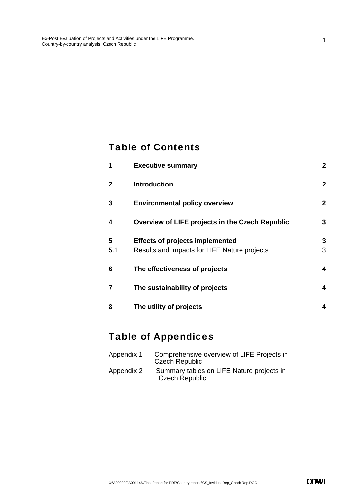### Table of Contents

| 1              | <b>Executive summary</b>                        | $\overline{2}$ |
|----------------|-------------------------------------------------|----------------|
| $\mathbf{2}$   | <b>Introduction</b>                             | $\overline{2}$ |
| 3              | <b>Environmental policy overview</b>            | $\overline{2}$ |
| 4              | Overview of LIFE projects in the Czech Republic | 3              |
| 5              | <b>Effects of projects implemented</b>          | 3              |
| 5.1            | Results and impacts for LIFE Nature projects    | 3              |
| 6              | The effectiveness of projects                   | 4              |
| $\overline{7}$ | The sustainability of projects                  | 4              |
| 8              | The utility of projects                         | 4              |

## Table of Appendices

| Appendix 1 | Comprehensive overview of LIFE Projects in<br><b>Czech Republic</b> |
|------------|---------------------------------------------------------------------|
| Appendix 2 | Summary tables on LIFE Nature projects in<br><b>Czech Republic</b>  |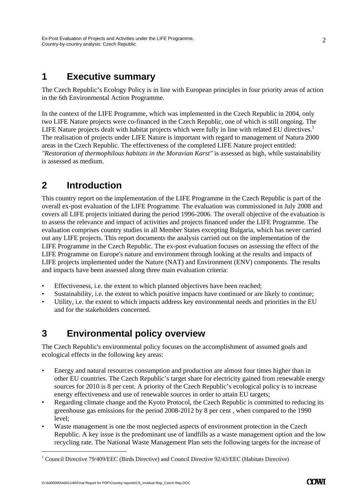### **1 Executive summary**

The Czech Republic's Ecology Policy is in line with European principles in four priority areas of action in the 6th Environmental Action Programme.

In the context of the LIFE Programme, which was implemented in the Czech Republic in 2004, only two LIFE Nature projects were co-financed in the Czech Republic, one of which is still ongoing. The LIFE Nature projects dealt with habitat projects which were fully in line with related EU directives.<sup>1</sup> The realisation of projects under LIFE Nature is important with regard to management of Natura 2000 areas in the Czech Republic. The effectiveness of the completed LIFE Nature project entitled: *"Restoration of thermophilous habitats in the Moravian Karst"* is assessed as high, while sustainability is assessed as medium.

# **2 Introduction**

This country report on the implementation of the LIFE Programme in the Czech Republic is part of the overall ex-post evaluation of the LIFE Programme. The evaluation was commissioned in July 2008 and covers all LIFE projects initiated during the period 1996-2006. The overall objective of the evaluation is to assess the relevance and impact of activities and projects financed under the LIFE Programme. The evaluation comprises country studies in all Member States excepting Bulgaria, which has never carried out any LIFE projects. This report documents the analysis carried out on the implementation of the LIFE Programme in the Czech Republic. The ex-post evaluation focuses on assessing the effect of the LIFE Programme on Europe's nature and environment through looking at the results and impacts of LIFE projects implemented under the Nature (NAT) and Environment (ENV) components. The results and impacts have been assessed along three main evaluation criteria:

- Effectiveness, i.e. the extent to which planned objectives have been reached;
- Sustainability, i.e. the extent to which positive impacts have continued or are likely to continue;
- Utility, i.e. the extent to which impacts address key environmental needs and priorities in the EU and for the stakeholders concerned.

### **3 Environmental policy overview**

The Czech Republic's environmental policy focuses on the accomplishment of assumed goals and ecological effects in the following key areas:

- Energy and natural resources consumption and production are almost four times higher than in other EU countries. The Czech Republic's target share for electricity gained from renewable energy sources for 2010 is 8 per cent. A priority of the Czech Republic's ecological policy is to increase energy effectiveness and use of renewable sources in order to attain EU targets;
- Regarding climate change and the Kyoto Protocol, the Czech Republic is committed to reducing its greenhouse gas emissions for the period 2008-2012 by 8 per cent , when compared to the 1990 level;
- Waste management is one the most neglected aspects of environment protection in the Czech Republic. A key issue is the predominant use of landfills as a waste management option and the low recycling rate. The National Waste Management Plan sets the following targets for the increase of

-

 $\mathcal{D}_{\mathcal{L}}$ 

<sup>&</sup>lt;sup>1</sup> Council Directive 79/409/EEC (Birds Directive) and Council Directive 92/43/EEC (Habitats Directive)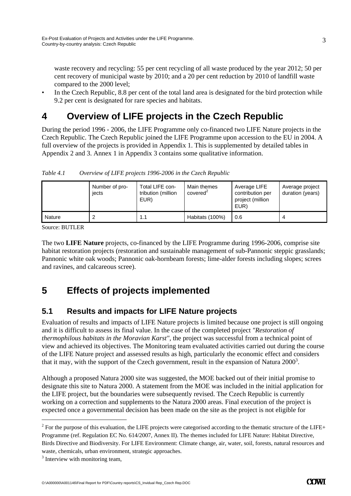waste recovery and recycling: 55 per cent recycling of all waste produced by the year 2012; 50 per cent recovery of municipal waste by 2010; and a 20 per cent reduction by 2010 of landfill waste compared to the 2000 level;

In the Czech Republic, 8.8 per cent of the total land area is designated for the bird protection while 9.2 per cent is designated for rare species and habitats.

# **4 Overview of LIFE projects in the Czech Republic**

During the period 1996 - 2006, the LIFE Programme only co-financed two LIFE Nature projects in the Czech Republic. The Czech Republic joined the LIFE Programme upon accession to the EU in 2004. A full overview of the projects is provided in Appendix 1. This is supplemented by detailed tables in Appendix 2 and 3. Annex 1 in Appendix 3 contains some qualitative information.

|        | Number of pro-<br>jects | Total LIFE con-<br>tribution (million<br>EUR) | Main themes<br>covered | Average LIFE<br>contribution per<br>project (million<br>EUR) | Average project<br>duration (years) |
|--------|-------------------------|-----------------------------------------------|------------------------|--------------------------------------------------------------|-------------------------------------|
| Nature |                         | 1.1                                           | Habitats (100%)        | 0.6                                                          |                                     |

*Table 4.1 Overview of LIFE projects 1996-2006 in the Czech Republic* 

Source: BUTLER

The two **LIFE Nature** projects, co-financed by the LIFE Programme during 1996-2006, comprise site habitat restoration projects (restoration and sustainable management of sub-Pannonic steppic grasslands; Pannonic white oak woods; Pannonic oak-hornbeam forests; lime-alder forests including slopes; screes and ravines, and calcareous scree).

# **5 Effects of projects implemented**

### **5.1 Results and impacts for LIFE Nature projects**

Evaluation of results and impacts of LIFE Nature projects is limited because one project is still ongoing and it is difficult to assess its final value. In the case of the completed project *"Restoration of thermophilous habitats in the Moravian Karst"*, the project was successful from a technical point of view and achieved its objectives. The Monitoring team evaluated activities carried out during the course of the LIFE Nature project and assessed results as high, particularly the economic effect and considers that it may, with the support of the Czech government, result in the expansion of Natura  $2000^3$ .

Although a proposed Natura 2000 site was suggested, the MOE backed out of their initial promise to designate this site to Natura 2000. A statement from the MOE was included in the initial application for the LIFE project, but the boundaries were subsequently revised. The Czech Republic is currently working on a correction and supplements to the Natura 2000 areas. Final execution of the project is expected once a governmental decision has been made on the site as the project is not eligible for

-

3

 $2^2$  For the purpose of this evaluation, the LIFE projects were categorised according to the thematic structure of the LIFE+ Programme (ref. Regulation EC No. 614/2007, Annex II). The themes included for LIFE Nature: Habitat Directive, Birds Directive and Biodiversity. For LIFE Environment: Climate change, air, water, soil, forests, natural resources and waste, chemicals, urban environment, strategic approaches.

<sup>&</sup>lt;sup>3</sup> Interview with monitoring team,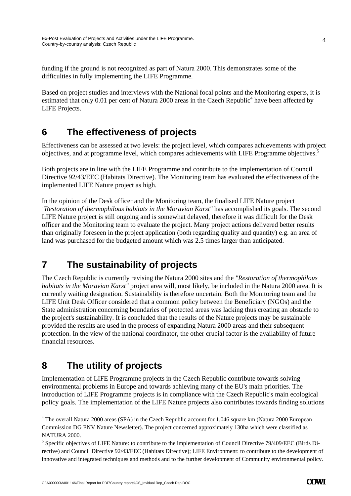funding if the ground is not recognized as part of Natura 2000. This demonstrates some of the difficulties in fully implementing the LIFE Programme.

Based on project studies and interviews with the National focal points and the Monitoring experts, it is estimated that only 0.01 per cent of Natura 2000 areas in the Czech Republic<sup>4</sup> have been affected by LIFE Projects.

## **6 The effectiveness of projects**

Effectiveness can be assessed at two levels: the project level, which compares achievements with project objectives, and at programme level, which compares achievements with LIFE Programme objectives.5

Both projects are in line with the LIFE Programme and contribute to the implementation of Council Directive 92/43/EEC (Habitats Directive). The Monitoring team has evaluated the effectiveness of the implemented LIFE Nature project as high.

In the opinion of the Desk officer and the Monitoring team, the finalised LIFE Nature project *"Restoration of thermophilous habitats in the Moravian Karst"* has accomplished its goals. The second LIFE Nature project is still ongoing and is somewhat delayed, therefore it was difficult for the Desk officer and the Monitoring team to evaluate the project. Many project actions delivered better results than originally foreseen in the project application (both regarding quality and quantity) e.g. an area of land was purchased for the budgeted amount which was 2.5 times larger than anticipated.

# **7 The sustainability of projects**

The Czech Republic is currently revising the Natura 2000 sites and the *"Restoration of thermophilous habitats in the Moravian Karst"* project area will, most likely, be included in the Natura 2000 area. It is currently waiting designation. Sustainability is therefore uncertain. Both the Monitoring team and the LIFE Unit Desk Officer considered that a common policy between the Beneficiary (NGOs) and the State administration concerning boundaries of protected areas was lacking thus creating an obstacle to the project's sustainability. It is concluded that the results of the Nature projects may be sustainable provided the results are used in the process of expanding Natura 2000 areas and their subsequent protection. In the view of the national coordinator, the other crucial factor is the availability of future financial resources.

# **8 The utility of projects**

-

Implementation of LIFE Programme projects in the Czech Republic contribute towards solving environmental problems in Europe and towards achieving many of the EU's main priorities. The introduction of LIFE Programme projects is in compliance with the Czech Republic's main ecological policy goals. The implementation of the LIFE Nature projects also contributes towards finding solutions

<sup>&</sup>lt;sup>4</sup> The overall Natura 2000 areas (SPA) in the Czech Republic account for 1,046 square km (Natura 2000 European Commission DG ENV Nature Newsletter). The project concerned approximately 130ha which were classified as NATURA 2000.

<sup>&</sup>lt;sup>5</sup> Specific objectives of LIFE Nature: to contribute to the implementation of Council Directive 79/409/EEC (Birds Directive) and Council Directive 92/43/EEC (Habitats Directive); LIFE Environment: to contribute to the development of innovative and integrated techniques and methods and to the further development of Community environmental policy.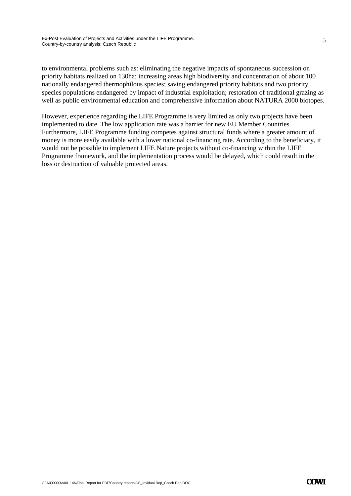to environmental problems such as: eliminating the negative impacts of spontaneous succession on priority habitats realized on 130ha; increasing areas high biodiversity and concentration of about 100 nationally endangered thermophilous species; saving endangered priority habitats and two priority species populations endangered by impact of industrial exploitation; restoration of traditional grazing as well as public environmental education and comprehensive information about NATURA 2000 biotopes.

However, experience regarding the LIFE Programme is very limited as only two projects have been implemented to date. The low application rate was a barrier for new EU Member Countries. Furthermore, LIFE Programme funding competes against structural funds where a greater amount of money is more easily available with a lower national co-financing rate. According to the beneficiary, it would not be possible to implement LIFE Nature projects without co-financing within the LIFE Programme framework, and the implementation process would be delayed, which could result in the loss or destruction of valuable protected areas.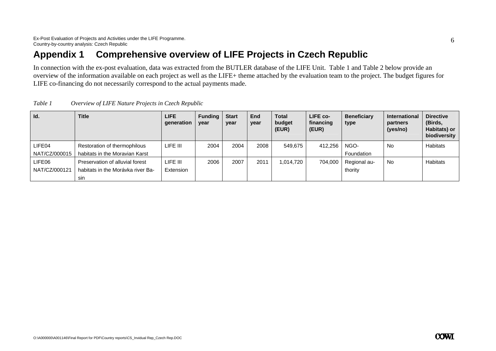## **Appendix 1 Comprehensive overview of LIFE Projects in Czech Republic**

In connection with the ex-post evaluation, data was extracted from the BUTLER database of the LIFE Unit. Table 1 and Table 2 below provide an overview of the information available on each project as well as the LIFE+ theme attached by the evaluation team to the project. The budget figures for LIFE co-financing do not necessarily correspond to the actual payments made.

| Id.           | <b>Title</b>                      | <b>LIFE</b><br>generation | <b>Funding</b><br>year | <b>Start</b><br>year | <b>End</b><br>year | <b>Total</b><br>budget<br>(EUR) | LIFE co-<br>financing<br>(EUR) | <b>Beneficiary</b><br>type | <b>International</b><br>partners<br>(yes/no) | <b>Directive</b><br>(Birds,<br>Habitats) or<br>biodiversity |
|---------------|-----------------------------------|---------------------------|------------------------|----------------------|--------------------|---------------------------------|--------------------------------|----------------------------|----------------------------------------------|-------------------------------------------------------------|
| LIFE04        | Restoration of thermophilous      | LIFE III                  | 2004                   | 2004                 | 2008               | 549.675                         | 412,256                        | NGO-                       | No                                           | Habitats                                                    |
| NAT/CZ/000015 | habitats in the Moravian Karst    |                           |                        |                      |                    |                                 |                                | Foundation                 |                                              |                                                             |
| LIFE06        | Preservation of alluvial forest   | LIFE III                  | 2006                   | 2007                 | 2011               | 1.014.720                       | 704,000                        | Regional au-               | No                                           | Habitats                                                    |
| NAT/CZ/000121 | habitats in the Morávka river Ba- | Extension                 |                        |                      |                    |                                 |                                | thority                    |                                              |                                                             |
|               | sin                               |                           |                        |                      |                    |                                 |                                |                            |                                              |                                                             |

*Table 1 Overview of LIFE Nature Projects in Czech Republic*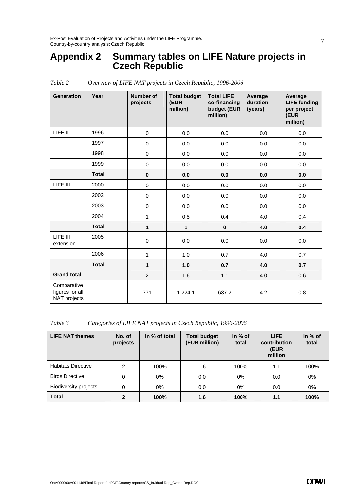### **Appendix 2 Summary tables on LIFE Nature projects in Czech Republic**

| <b>Generation</b>                              | Year         | <b>Number of</b><br>projects | <b>Total budget</b><br>(EUR<br>million) | <b>Total LIFE</b><br>co-financing<br>budget (EUR<br>million) | Average<br>duration<br>(years) | Average<br><b>LIFE funding</b><br>per project<br>(EUR<br>million) |
|------------------------------------------------|--------------|------------------------------|-----------------------------------------|--------------------------------------------------------------|--------------------------------|-------------------------------------------------------------------|
| LIFE II                                        | 1996         | $\mathbf 0$                  | 0.0                                     | 0.0                                                          | 0.0                            | 0.0                                                               |
|                                                | 1997         | $\pmb{0}$                    | 0.0                                     | 0.0                                                          | 0.0                            | 0.0                                                               |
|                                                | 1998         | $\mathbf 0$                  | 0.0                                     | 0.0                                                          | 0.0                            | 0.0                                                               |
|                                                | 1999         | $\pmb{0}$                    | 0.0                                     | 0.0                                                          | 0.0                            | 0.0                                                               |
|                                                | <b>Total</b> | $\pmb{0}$                    | 0.0                                     | 0.0                                                          | 0.0                            | 0.0                                                               |
| LIFE III                                       | 2000         | 0                            | 0.0                                     | 0.0                                                          | 0.0                            | 0.0                                                               |
|                                                | 2002         | 0                            | 0.0                                     | 0.0                                                          | 0.0                            | 0.0                                                               |
|                                                | 2003         | 0                            | 0.0                                     | 0.0                                                          | 0.0                            | 0.0                                                               |
|                                                | 2004         | $\mathbf{1}$                 | 0.5                                     | 0.4                                                          | 4.0                            | 0.4                                                               |
|                                                | <b>Total</b> | 1                            | $\mathbf{1}$                            | $\bf{0}$                                                     | 4.0                            | 0.4                                                               |
| LIFE III<br>extension                          | 2005         | 0                            | 0.0                                     | 0.0                                                          | 0.0                            | 0.0                                                               |
|                                                | 2006         | 1                            | 1.0                                     | 0.7                                                          | 4.0                            | 0.7                                                               |
|                                                | <b>Total</b> | 1                            | 1.0                                     | 0.7                                                          | 4.0                            | 0.7                                                               |
| <b>Grand total</b>                             |              | $\overline{2}$               | 1.6                                     | 1.1                                                          | 4.0                            | 0.6                                                               |
| Comparative<br>figures for all<br>NAT projects |              | 771                          | 1,224.1                                 | 637.2                                                        | 4.2                            | 0.8                                                               |

*Table 2 Overview of LIFE NAT projects in Czech Republic, 1996-2006* 

*Table 3 Categories of LIFE NAT projects in Czech Republic, 1996-2006* 

| <b>LIFE NAT themes</b>       | No. of<br>projects | In % of total | <b>Total budget</b><br>(EUR million) | In % of<br>total | <b>LIFE</b><br>contribution<br>(EUR<br>million | In % of<br>total |
|------------------------------|--------------------|---------------|--------------------------------------|------------------|------------------------------------------------|------------------|
| <b>Habitats Directive</b>    | 2                  | 100%          | 1.6                                  | 100%             | 1.1                                            | 100%             |
| <b>Birds Directive</b>       | 0                  | $0\%$         | 0.0                                  | $0\%$            | 0.0                                            | 0%               |
| <b>Biodiversity projects</b> | 0                  | $0\%$         | 0.0                                  | 0%               | 0.0                                            | $0\%$            |
| <b>Total</b>                 | 2                  | 100%          | 1.6                                  | 100%             | 1.1                                            | 100%             |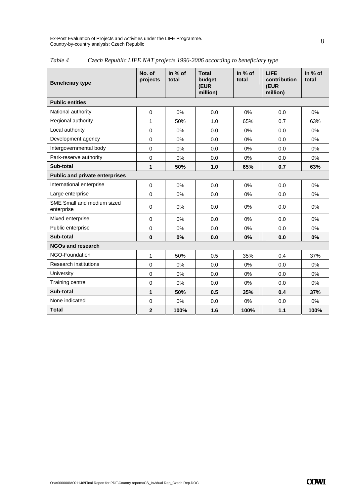Ex-Post Evaluation of Projects and Activities under the LIFE Programme. Country-by-country analysis: Czech Republic

| <b>Beneficiary type</b>                  | No. of<br>projects | In % of<br>total | <b>Total</b><br>budget<br>(EUR<br>million) | In $%$ of<br>total | <b>LIFE</b><br>contribution<br>(EUR<br>million) | In $%$ of<br>total |  |  |
|------------------------------------------|--------------------|------------------|--------------------------------------------|--------------------|-------------------------------------------------|--------------------|--|--|
| <b>Public entities</b>                   |                    |                  |                                            |                    |                                                 |                    |  |  |
| National authority                       | $\mathbf 0$        | 0%               | 0.0                                        | 0%                 | 0.0                                             | 0%                 |  |  |
| Regional authority                       | 1                  | 50%              | 1.0                                        | 65%                | 0.7                                             | 63%                |  |  |
| Local authority                          | 0                  | 0%               | 0.0                                        | 0%                 | 0.0                                             | 0%                 |  |  |
| Development agency                       | $\mathbf 0$        | 0%               | 0.0                                        | 0%                 | 0.0                                             | 0%                 |  |  |
| Intergovernmental body                   | $\mathbf 0$        | 0%               | 0.0                                        | 0%                 | 0.0                                             | 0%                 |  |  |
| Park-reserve authority                   | $\Omega$           | 0%               | 0.0                                        | 0%                 | 0.0                                             | 0%                 |  |  |
| Sub-total                                | 1                  | 50%              | 1.0                                        | 65%                | 0.7                                             | 63%                |  |  |
| <b>Public and private enterprises</b>    |                    |                  |                                            |                    |                                                 |                    |  |  |
| International enterprise                 | $\mathbf 0$        | 0%               | 0.0                                        | 0%                 | 0.0                                             | 0%                 |  |  |
| Large enterprise                         | $\Omega$           | 0%               | 0.0                                        | 0%                 | 0.0                                             | 0%                 |  |  |
| SME Small and medium sized<br>enterprise | $\Omega$           | 0%               | 0.0                                        | 0%                 | 0.0                                             | 0%                 |  |  |
| Mixed enterprise                         | $\Omega$           | 0%               | 0.0                                        | 0%                 | 0.0                                             | 0%                 |  |  |
| Public enterprise                        | 0                  | 0%               | 0.0                                        | 0%                 | 0.0                                             | 0%                 |  |  |
| Sub-total                                | $\bf{0}$           | 0%               | 0.0                                        | 0%                 | 0.0                                             | 0%                 |  |  |
| <b>NGOs and research</b>                 |                    |                  |                                            |                    |                                                 |                    |  |  |
| NGO-Foundation                           | $\mathbf{1}$       | 50%              | 0.5                                        | 35%                | 0.4                                             | 37%                |  |  |
| <b>Research institutions</b>             | $\mathbf 0$        | 0%               | 0.0                                        | 0%                 | 0.0                                             | 0%                 |  |  |
| University                               | $\Omega$           | 0%               | 0.0                                        | 0%                 | 0.0                                             | 0%                 |  |  |
| Training centre                          | $\mathbf 0$        | 0%               | 0.0                                        | 0%                 | 0.0                                             | 0%                 |  |  |
| Sub-total                                | 1                  | 50%              | 0.5                                        | 35%                | 0.4                                             | 37%                |  |  |
| None indicated                           | $\pmb{0}$          | 0%               | 0.0                                        | 0%                 | 0.0                                             | 0%                 |  |  |
| <b>Total</b>                             | $\overline{2}$     | 100%             | 1.6                                        | 100%               | 1.1                                             | 100%               |  |  |

#### *Table 4 Czech Republic LIFE NAT projects 1996-2006 according to beneficiary type*

8